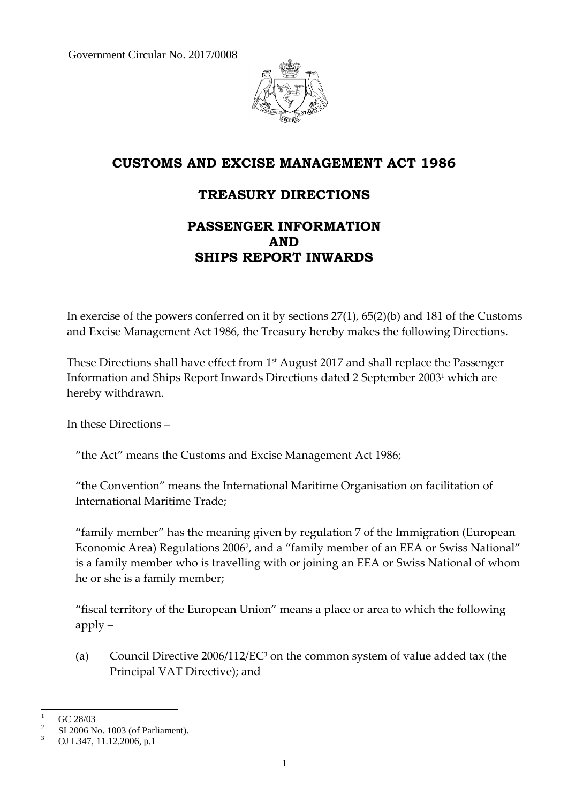Government Circular No. 2017/0008



# **CUSTOMS AND EXCISE MANAGEMENT ACT 1986**

# **TREASURY DIRECTIONS**

# **PASSENGER INFORMATION AND SHIPS REPORT INWARDS**

In exercise of the powers conferred on it by sections 27(1), 65(2)(b) and 181 of the Customs and Excise Management Act 1986, the Treasury hereby makes the following Directions.

These Directions shall have effect from 1 st August 2017 and shall replace the Passenger Information and Ships Report Inwards Directions dated 2 September 2003<sup>1</sup> which are hereby withdrawn.

In these Directions –

"the Act" means the Customs and Excise Management Act 1986;

"the Convention" means the International Maritime Organisation on facilitation of International Maritime Trade;

"family member" has the meaning given by regulation 7 of the Immigration (European Economic Area) Regulations 2006<sup>2</sup>, and a "family member of an EEA or Swiss National" is a family member who is travelling with or joining an EEA or Swiss National of whom he or she is a family member;

"fiscal territory of the European Union" means a place or area to which the following apply –

(a) Council Directive 2006/112/EC<sup>3</sup> on the common system of value added tax (the Principal VAT Directive); and

 $\mathbf{1}$ GC 28/03

<sup>2</sup> SI 2006 No. 1003 (of Parliament).

<sup>3</sup> OJ L347, 11.12.2006, p.1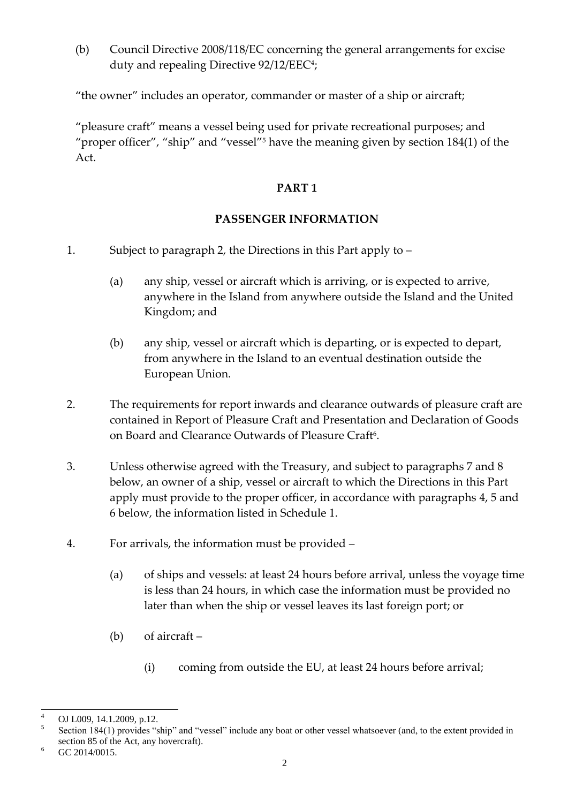(b) Council Directive 2008/118/EC concerning the general arrangements for excise duty and repealing Directive 92/12/EEC<sup>4</sup>;

"the owner" includes an operator, commander or master of a ship or aircraft;

"pleasure craft" means a vessel being used for private recreational purposes; and "proper officer", "ship" and "vessel"<sup>5</sup> have the meaning given by section 184(1) of the Act.

## **PART 1**

## **PASSENGER INFORMATION**

- 1. Subject to paragraph 2, the Directions in this Part apply to
	- (a) any ship, vessel or aircraft which is arriving, or is expected to arrive, anywhere in the Island from anywhere outside the Island and the United Kingdom; and
	- (b) any ship, vessel or aircraft which is departing, or is expected to depart, from anywhere in the Island to an eventual destination outside the European Union.
- 2. The requirements for report inwards and clearance outwards of pleasure craft are contained in Report of Pleasure Craft and Presentation and Declaration of Goods on Board and Clearance Outwards of Pleasure Craft<sup>6</sup>.
- 3. Unless otherwise agreed with the Treasury, and subject to paragraphs 7 and 8 below, an owner of a ship, vessel or aircraft to which the Directions in this Part apply must provide to the proper officer, in accordance with paragraphs 4, 5 and 6 below, the information listed in Schedule 1.
- 4. For arrivals, the information must be provided
	- (a) of ships and vessels: at least 24 hours before arrival, unless the voyage time is less than 24 hours, in which case the information must be provided no later than when the ship or vessel leaves its last foreign port; or
	- (b) of aircraft
		- (i) coming from outside the EU, at least 24 hours before arrival;

 $\overline{4}$ OJ L009, 14.1.2009, p.12.

<sup>5</sup> Section 184(1) provides "ship" and "vessel" include any boat or other vessel whatsoever (and, to the extent provided in section 85 of the Act, any hovercraft).

 $6$  GC 2014/0015.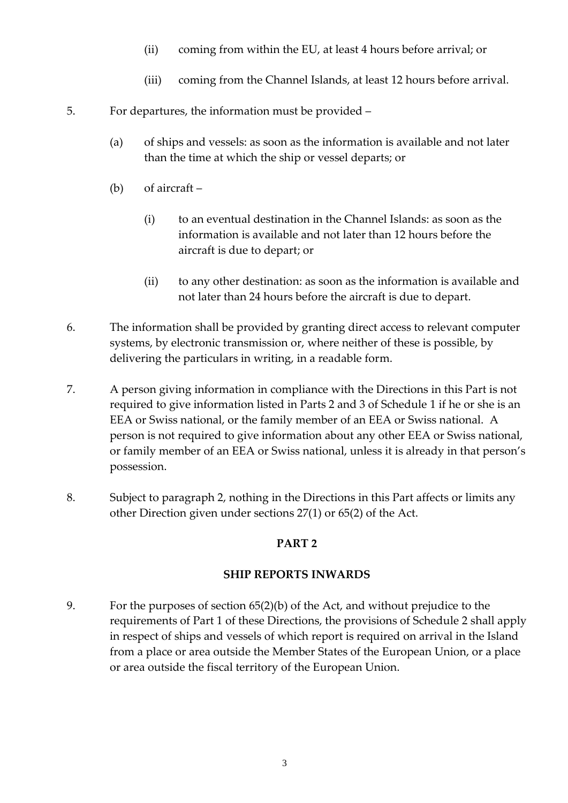- (ii) coming from within the EU, at least 4 hours before arrival; or
- (iii) coming from the Channel Islands, at least 12 hours before arrival.
- 5. For departures, the information must be provided
	- (a) of ships and vessels: as soon as the information is available and not later than the time at which the ship or vessel departs; or
	- (b) of aircraft
		- (i) to an eventual destination in the Channel Islands: as soon as the information is available and not later than 12 hours before the aircraft is due to depart; or
		- (ii) to any other destination: as soon as the information is available and not later than 24 hours before the aircraft is due to depart.
- 6. The information shall be provided by granting direct access to relevant computer systems, by electronic transmission or, where neither of these is possible, by delivering the particulars in writing, in a readable form.
- 7. A person giving information in compliance with the Directions in this Part is not required to give information listed in Parts 2 and 3 of Schedule 1 if he or she is an EEA or Swiss national, or the family member of an EEA or Swiss national. A person is not required to give information about any other EEA or Swiss national, or family member of an EEA or Swiss national, unless it is already in that person's possession.
- 8. Subject to paragraph 2, nothing in the Directions in this Part affects or limits any other Direction given under sections 27(1) or 65(2) of the Act.

## **PART 2**

## **SHIP REPORTS INWARDS**

9. For the purposes of section 65(2)(b) of the Act, and without prejudice to the requirements of Part 1 of these Directions, the provisions of Schedule 2 shall apply in respect of ships and vessels of which report is required on arrival in the Island from a place or area outside the Member States of the European Union, or a place or area outside the fiscal territory of the European Union.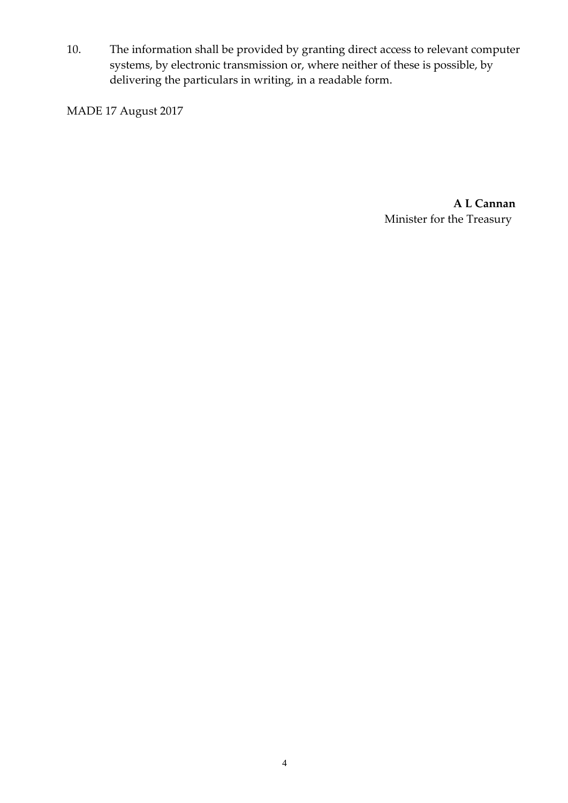10. The information shall be provided by granting direct access to relevant computer systems, by electronic transmission or, where neither of these is possible, by delivering the particulars in writing, in a readable form.

MADE 17 August 2017

**A L Cannan** Minister for the Treasury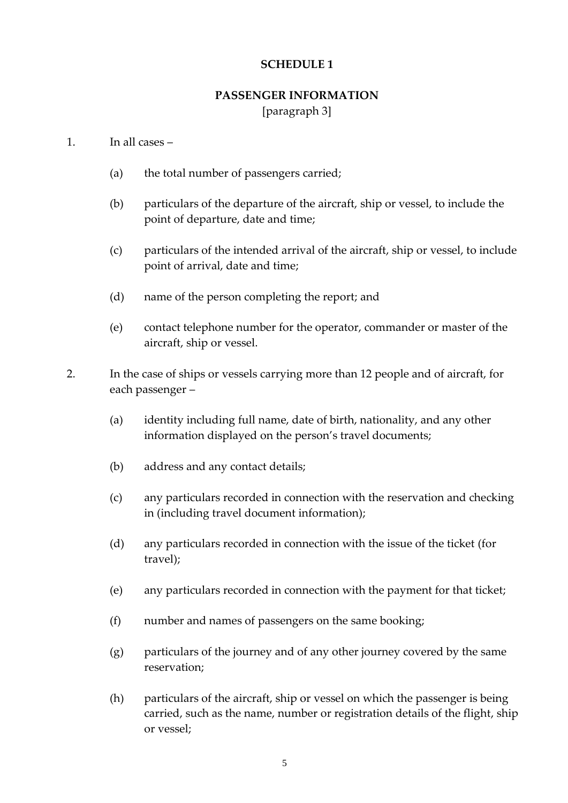#### **SCHEDULE 1**

# **PASSENGER INFORMATION**

[paragraph 3]

#### 1. In all cases –

- (a) the total number of passengers carried;
- (b) particulars of the departure of the aircraft, ship or vessel, to include the point of departure, date and time;
- (c) particulars of the intended arrival of the aircraft, ship or vessel, to include point of arrival, date and time;
- (d) name of the person completing the report; and
- (e) contact telephone number for the operator, commander or master of the aircraft, ship or vessel.
- 2. In the case of ships or vessels carrying more than 12 people and of aircraft, for each passenger –
	- (a) identity including full name, date of birth, nationality, and any other information displayed on the person's travel documents;
	- (b) address and any contact details;
	- (c) any particulars recorded in connection with the reservation and checking in (including travel document information);
	- (d) any particulars recorded in connection with the issue of the ticket (for travel);
	- (e) any particulars recorded in connection with the payment for that ticket;
	- (f) number and names of passengers on the same booking;
	- (g) particulars of the journey and of any other journey covered by the same reservation;
	- (h) particulars of the aircraft, ship or vessel on which the passenger is being carried, such as the name, number or registration details of the flight, ship or vessel;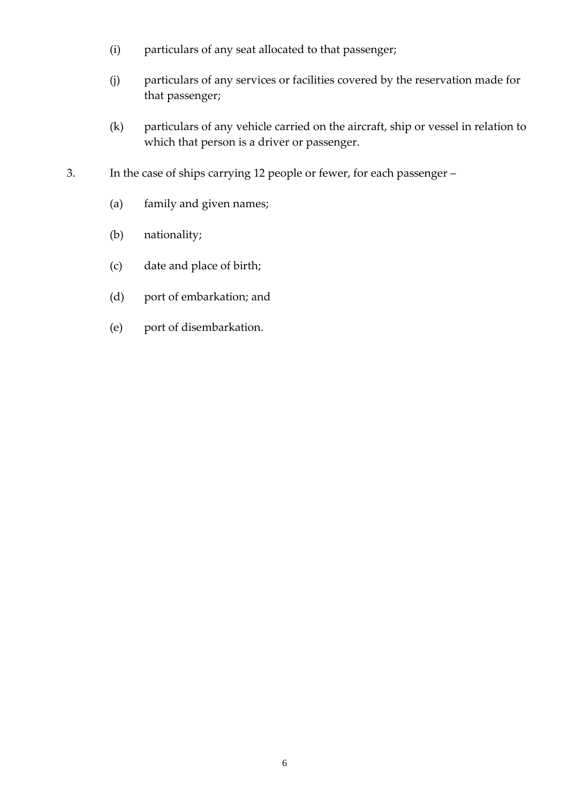- (i) particulars of any seat allocated to that passenger;
- (j) particulars of any services or facilities covered by the reservation made for that passenger;
- (k) particulars of any vehicle carried on the aircraft, ship or vessel in relation to which that person is a driver or passenger.
- 3. In the case of ships carrying 12 people or fewer, for each passenger
	- (a) family and given names;
	- (b) nationality;
	- (c) date and place of birth;
	- (d) port of embarkation; and
	- (e) port of disembarkation.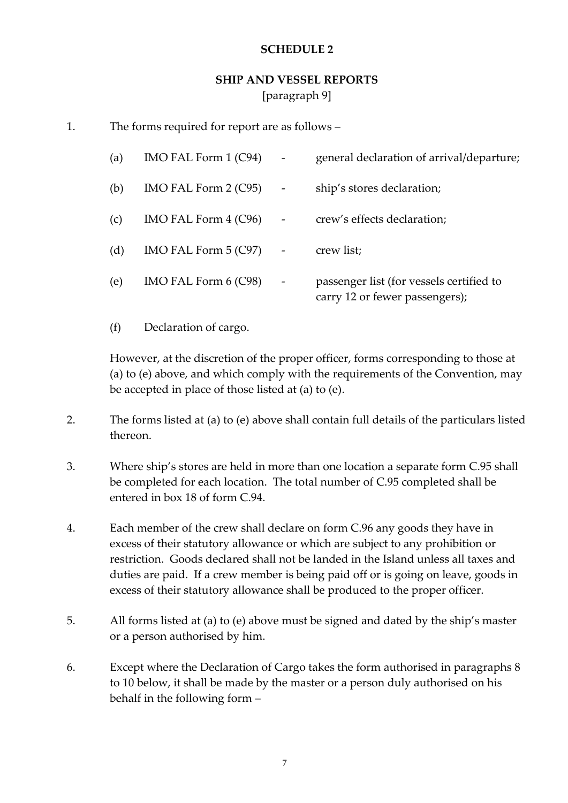#### **SCHEDULE 2**

# **SHIP AND VESSEL REPORTS** [paragraph 9]

1. The forms required for report are as follows –

| (a) | IMO FAL Form $1$ (C94) |                          | general declaration of arrival/departure;                                  |
|-----|------------------------|--------------------------|----------------------------------------------------------------------------|
| (b) | IMO FAL Form $2$ (C95) | $\overline{\phantom{a}}$ | ship's stores declaration;                                                 |
| (c) | IMO FAL Form $4$ (C96) | $\overline{\phantom{a}}$ | crew's effects declaration;                                                |
| (d) | IMO FAL Form $5$ (C97) |                          | crew list;                                                                 |
| (e) | IMO FAL Form 6 (C98)   |                          | passenger list (for vessels certified to<br>carry 12 or fewer passengers); |

(f) Declaration of cargo.

However, at the discretion of the proper officer, forms corresponding to those at (a) to (e) above, and which comply with the requirements of the Convention, may be accepted in place of those listed at (a) to (e).

- 2. The forms listed at (a) to (e) above shall contain full details of the particulars listed thereon.
- 3. Where ship's stores are held in more than one location a separate form C.95 shall be completed for each location. The total number of C.95 completed shall be entered in box 18 of form C.94.
- 4. Each member of the crew shall declare on form C.96 any goods they have in excess of their statutory allowance or which are subject to any prohibition or restriction. Goods declared shall not be landed in the Island unless all taxes and duties are paid. If a crew member is being paid off or is going on leave, goods in excess of their statutory allowance shall be produced to the proper officer.
- 5. All forms listed at (a) to (e) above must be signed and dated by the ship's master or a person authorised by him.
- 6. Except where the Declaration of Cargo takes the form authorised in paragraphs 8 to 10 below, it shall be made by the master or a person duly authorised on his behalf in the following form –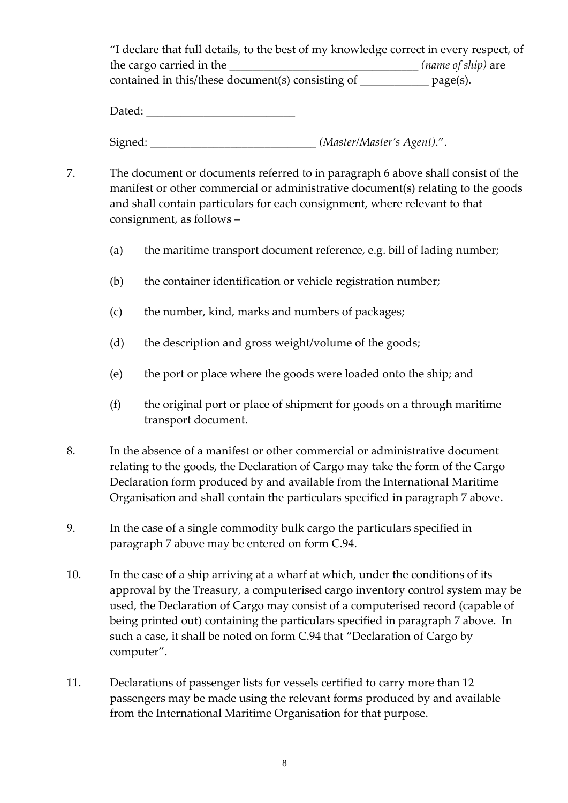"I declare that full details, to the best of my knowledge correct in every respect, of the cargo carried in the  $(name of ship)$  are contained in this/these document(s) consisting of \_\_\_\_\_\_\_\_\_\_\_\_ page(s).

Dated:

Signed: \_\_\_\_\_\_\_\_\_\_\_\_\_\_\_\_\_\_\_\_\_\_\_\_\_\_\_\_\_ *(Master/Master's Agent)*.".

- 7. The document or documents referred to in paragraph 6 above shall consist of the manifest or other commercial or administrative document(s) relating to the goods and shall contain particulars for each consignment, where relevant to that consignment, as follows –
	- (a) the maritime transport document reference, e.g. bill of lading number;
	- (b) the container identification or vehicle registration number;
	- (c) the number, kind, marks and numbers of packages;
	- (d) the description and gross weight/volume of the goods;
	- (e) the port or place where the goods were loaded onto the ship; and
	- (f) the original port or place of shipment for goods on a through maritime transport document.
- 8. In the absence of a manifest or other commercial or administrative document relating to the goods, the Declaration of Cargo may take the form of the Cargo Declaration form produced by and available from the International Maritime Organisation and shall contain the particulars specified in paragraph 7 above.
- 9. In the case of a single commodity bulk cargo the particulars specified in paragraph 7 above may be entered on form C.94.
- 10. In the case of a ship arriving at a wharf at which, under the conditions of its approval by the Treasury, a computerised cargo inventory control system may be used, the Declaration of Cargo may consist of a computerised record (capable of being printed out) containing the particulars specified in paragraph 7 above. In such a case, it shall be noted on form C.94 that "Declaration of Cargo by computer".
- 11. Declarations of passenger lists for vessels certified to carry more than 12 passengers may be made using the relevant forms produced by and available from the International Maritime Organisation for that purpose.